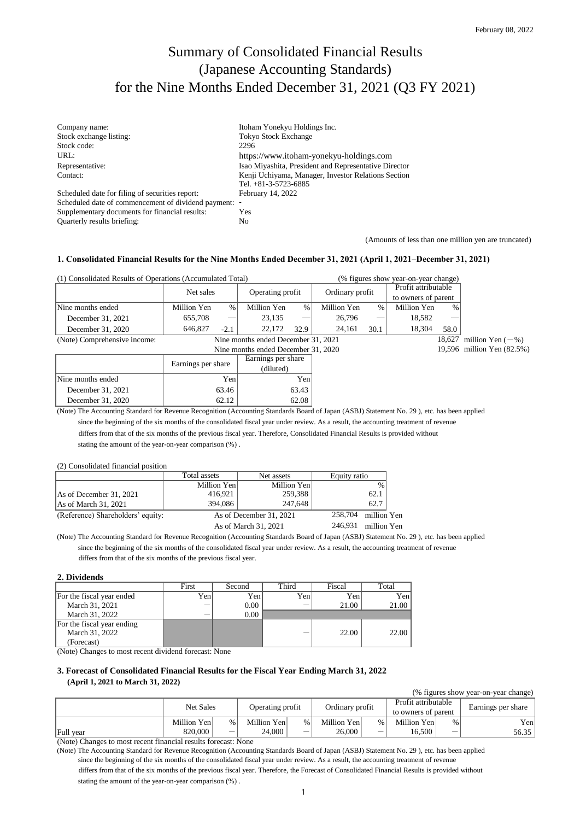# Summary of Consolidated Financial Results (Japanese Accounting Standards) for the Nine Months Ended December 31, 2021 (Q3 FY 2021)

| Company name:                                         | Itoham Yonekyu Holdings Inc.                          |
|-------------------------------------------------------|-------------------------------------------------------|
| Stock exchange listing:                               | <b>Tokyo Stock Exchange</b>                           |
| Stock code:                                           | 2296                                                  |
| URL:                                                  | https://www.itoham-yonekyu-holdings.com               |
| Representative:                                       | Isao Miyashita, President and Representative Director |
| Contact:                                              | Kenji Uchiyama, Manager, Investor Relations Section   |
|                                                       | Tel. $+81-3-5723-6885$                                |
| Scheduled date for filing of securities report:       | February 14, 2022                                     |
| Scheduled date of commencement of dividend payment: - |                                                       |
| Supplementary documents for financial results:        | Yes                                                   |
| Quarterly results briefing:                           | No                                                    |

(Amounts of less than one million yen are truncated)

### **1. Consolidated Financial Results for the Nine Months Ended December 31, 2021 (April 1, 2021–December 31, 2021)**

| (1) Consolidated Results of Operations (Accumulated Total) |                                    |        |                  |      | (% figures show year-on-year change) |      |                     |        |
|------------------------------------------------------------|------------------------------------|--------|------------------|------|--------------------------------------|------|---------------------|--------|
|                                                            | Net sales                          |        | Operating profit |      | Ordinary profit                      |      | Profit attributable |        |
|                                                            |                                    |        |                  |      |                                      |      | to owners of parent |        |
| Nine months ended                                          | Million Yen                        | %      | Million Yen      | $\%$ | Million Yen                          | $\%$ | Million Yen         | $\%$   |
| December 31, 2021                                          | 655.708                            |        | 23.135           |      | 26,796                               |      | 18.582              |        |
| December 31, 2020                                          | 646,827                            | $-2.1$ | 22,172           | 32.9 | 24.161                               | 30.1 | 18.304              | 58.0   |
| (Note) Comprehensive income:                               | Nine months ended December 31 2021 |        |                  |      |                                      |      |                     | 18.627 |

|                   | Nine months ended December 31, 2020 |                    |  |  |
|-------------------|-------------------------------------|--------------------|--|--|
|                   |                                     | Earnings per share |  |  |
|                   | Earnings per share                  | (diluted)          |  |  |
| Nine months ended | Yenl                                | Yen                |  |  |
| December 31, 2021 | 63.46                               | 63.43              |  |  |
| December 31, 2020 |                                     | 62.08              |  |  |

18,627 million Yen  $(-%)$ 19,596 million Yen (82.5%)

 differs from that of the six months of the previous fiscal year. Therefore, Consolidated Financial Results is provided without (Note) The Accounting Standard for Revenue Recognition (Accounting Standards Board of Japan (ASBJ) Statement No. 29 ), etc. has been applied since the beginning of the six months of the consolidated fiscal year under review. As a result, the accounting treatment of revenue

stating the amount of the year-on-year comparison (%) .

#### (2) Consolidated financial position

|                                   | Total assets            | Net assets             | Equity ratio  |  |
|-----------------------------------|-------------------------|------------------------|---------------|--|
|                                   | Million Yen             | Million Yen            | $\frac{0}{6}$ |  |
| As of December 31, 2021           | 416,921                 | 259,388                | 62.1          |  |
| As of March 31, 2021              | 394,086                 | 247.648                | 62.7          |  |
| (Reference) Shareholders' equity: | As of December 31, 2021 | 258,704 million Yen    |               |  |
|                                   | As of March 31, 2021    | 246,931<br>million Yen |               |  |

 differs from that of the six months of the previous fiscal year. (Note) The Accounting Standard for Revenue Recognition (Accounting Standards Board of Japan (ASBJ) Statement No. 29 ), etc. has been applied since the beginning of the six months of the consolidated fiscal year under review. As a result, the accounting treatment of revenue

#### **2. Dividends**

|                            | First | Second | Third | Fiscal | Total |
|----------------------------|-------|--------|-------|--------|-------|
| For the fiscal year ended  | Yenl  | Yenl   | Yen   | Yen    | Yenl  |
| March 31, 2021             |       | 0.00   |       | 21.00  | 21.00 |
| March 31, 2022             |       | 0.00   |       |        |       |
| For the fiscal year ending |       |        |       |        |       |
| March 31, 2022             |       |        |       | 22.00  | 22.00 |
| (Forecast)                 |       |        |       |        |       |

(Note) Changes to most recent dividend forecast: None

### **3. Forecast of Consolidated Financial Results for the Fiscal Year Ending March 31, 2022 (April 1, 2021 to March 31, 2022)**

(% figures show year-on-year change)

| .<br>---- --- |             |                 |                  |      |                 |      |                     |   |                    |
|---------------|-------------|-----------------|------------------|------|-----------------|------|---------------------|---|--------------------|
| Net Sales     |             |                 | Operating profit |      | Ordinary profit |      | Profit attributable |   | Earnings per share |
|               |             |                 |                  |      |                 |      | to owners of parent |   |                    |
|               | Million Yen | $\frac{9}{6}$ 1 | Million Yen      | $\%$ | Million Yenl    | $\%$ | Million Yen         | % | Yenl               |
| Full year     | 820,000     | _               | 24.000           |      | 26,000          |      | 16,500              |   | 56.35              |

(Note) Changes to most recent financial results forecast: None

 differs from that of the six months of the previous fiscal year. Therefore, the Forecast of Consolidated Financial Results is provided without stating the amount of the year-on-year comparison (%) . since the beginning of the six months of the consolidated fiscal year under review. As a result, the accounting treatment of revenue (Note) The Accounting Standard for Revenue Recognition (Accounting Standards Board of Japan (ASBJ) Statement No. 29 ), etc. has been applied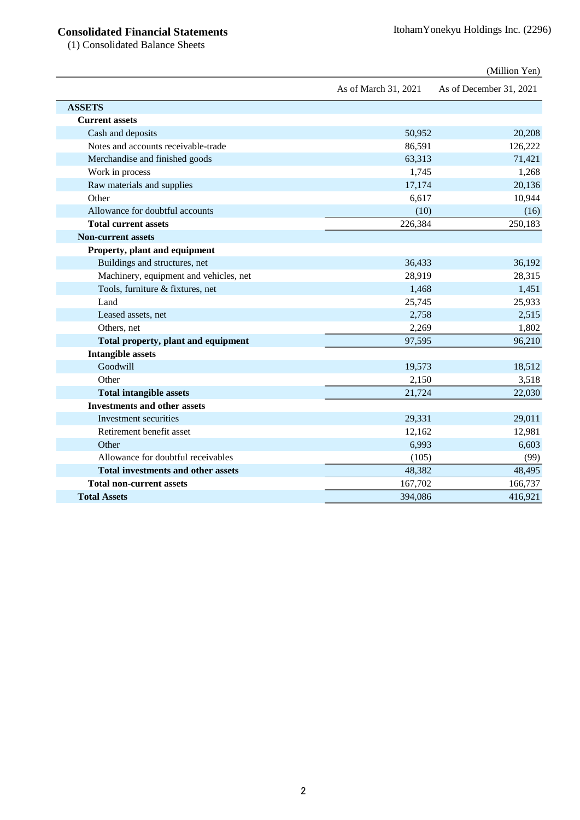## **Consolidated Financial Statements** ItohamYonekyu Holdings Inc. (2296)

(1) Consolidated Balance Sheets

|                                           |                      | (Million Yen)           |
|-------------------------------------------|----------------------|-------------------------|
|                                           | As of March 31, 2021 | As of December 31, 2021 |
| <b>ASSETS</b>                             |                      |                         |
| <b>Current assets</b>                     |                      |                         |
| Cash and deposits                         | 50,952               | 20,208                  |
| Notes and accounts receivable-trade       | 86,591               | 126,222                 |
| Merchandise and finished goods            | 63,313               | 71,421                  |
| Work in process                           | 1,745                | 1,268                   |
| Raw materials and supplies                | 17,174               | 20,136                  |
| Other                                     | 6,617                | 10,944                  |
| Allowance for doubtful accounts           | (10)                 | (16)                    |
| <b>Total current assets</b>               | 226,384              | 250,183                 |
| <b>Non-current assets</b>                 |                      |                         |
| Property, plant and equipment             |                      |                         |
| Buildings and structures, net             | 36,433               | 36,192                  |
| Machinery, equipment and vehicles, net    | 28,919               | 28,315                  |
| Tools, furniture & fixtures, net          | 1,468                | 1,451                   |
| Land                                      | 25,745               | 25,933                  |
| Leased assets, net                        | 2,758                | 2,515                   |
| Others, net                               | 2,269                | 1,802                   |
| Total property, plant and equipment       | 97,595               | 96,210                  |
| <b>Intangible assets</b>                  |                      |                         |
| Goodwill                                  | 19,573               | 18,512                  |
| Other                                     | 2,150                | 3,518                   |
| <b>Total intangible assets</b>            | 21,724               | 22,030                  |
| <b>Investments and other assets</b>       |                      |                         |
| Investment securities                     | 29,331               | 29,011                  |
| Retirement benefit asset                  | 12,162               | 12,981                  |
| Other                                     | 6,993                | 6,603                   |
| Allowance for doubtful receivables        | (105)                | (99)                    |
| <b>Total investments and other assets</b> | 48,382               | 48,495                  |
| <b>Total non-current assets</b>           | 167,702              | 166,737                 |
| <b>Total Assets</b>                       | 394,086              | 416,921                 |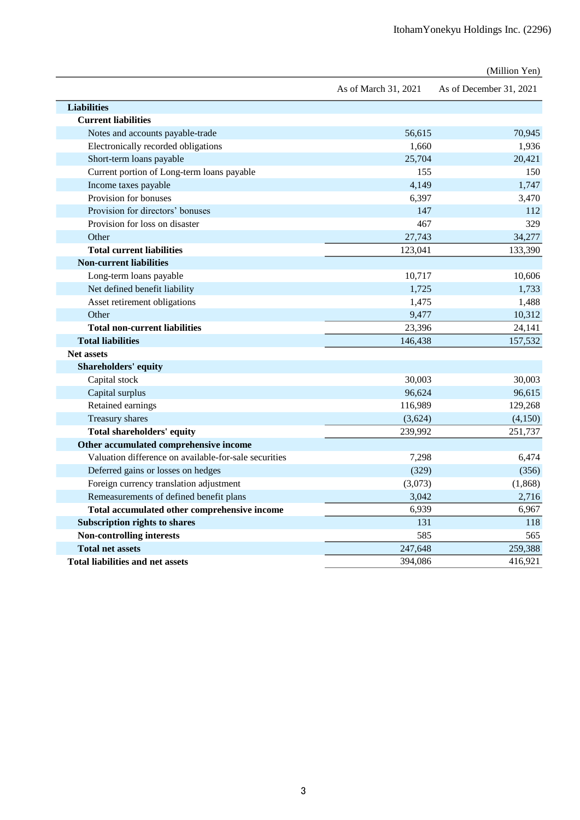|                                                       |                      | (Million Yen)           |
|-------------------------------------------------------|----------------------|-------------------------|
|                                                       | As of March 31, 2021 | As of December 31, 2021 |
| <b>Liabilities</b>                                    |                      |                         |
| <b>Current liabilities</b>                            |                      |                         |
| Notes and accounts payable-trade                      | 56,615               | 70,945                  |
| Electronically recorded obligations                   | 1.660                | 1,936                   |
| Short-term loans payable                              | 25,704               | 20,421                  |
| Current portion of Long-term loans payable            | 155                  | 150                     |
| Income taxes payable                                  | 4,149                | 1,747                   |
| Provision for bonuses                                 | 6,397                | 3,470                   |
| Provision for directors' bonuses                      | 147                  | 112                     |
| Provision for loss on disaster                        | 467                  | 329                     |
| Other                                                 | 27,743               | 34,277                  |
| <b>Total current liabilities</b>                      | 123,041              | 133,390                 |
| <b>Non-current liabilities</b>                        |                      |                         |
| Long-term loans payable                               | 10,717               | 10,606                  |
| Net defined benefit liability                         | 1,725                | 1,733                   |
| Asset retirement obligations                          | 1,475                | 1,488                   |
| Other                                                 | 9,477                | 10,312                  |
| <b>Total non-current liabilities</b>                  | 23,396               | 24,141                  |
| <b>Total liabilities</b>                              | 146,438              | 157,532                 |
| <b>Net assets</b>                                     |                      |                         |
| <b>Shareholders' equity</b>                           |                      |                         |
| Capital stock                                         | 30,003               | 30,003                  |
| Capital surplus                                       | 96,624               | 96,615                  |
| Retained earnings                                     | 116,989              | 129,268                 |
| Treasury shares                                       | (3,624)              | (4,150)                 |
| Total shareholders' equity                            | 239.992              | 251.737                 |
| Other accumulated comprehensive income                |                      |                         |
| Valuation difference on available-for-sale securities | 7,298                | 6,474                   |
| Deferred gains or losses on hedges                    | (329)                | (356)                   |
| Foreign currency translation adjustment               | (3,073)              | (1,868)                 |
| Remeasurements of defined benefit plans               | 3,042                | 2,716                   |
| Total accumulated other comprehensive income          | 6,939                | 6,967                   |
| <b>Subscription rights to shares</b>                  | 131                  | 118                     |
| Non-controlling interests                             | 585                  | 565                     |
| <b>Total net assets</b>                               | 247,648              | 259,388                 |
| <b>Total liabilities and net assets</b>               | 394,086              | 416,921                 |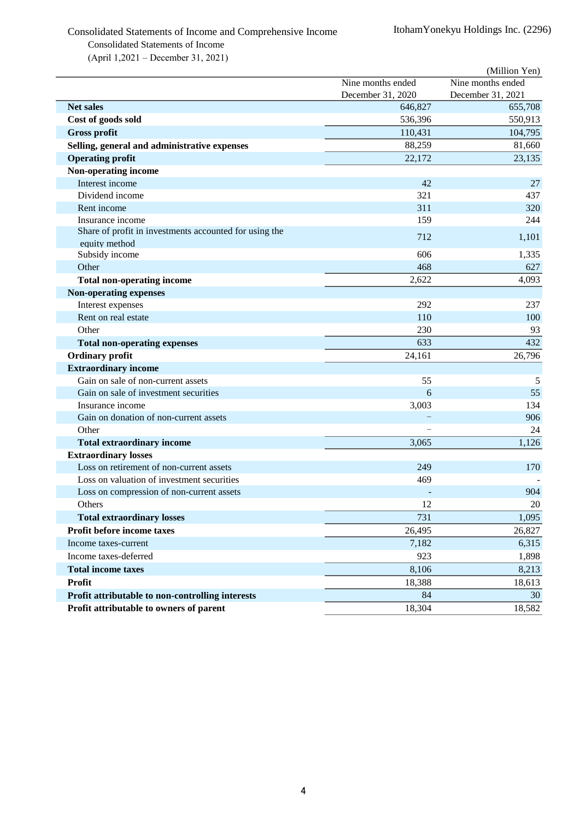## Consolidated Statements of Income and Comprehensive Income ItohamYonekyu Holdings Inc. (2296) Consolidated Statements of Income

(April 1,2021 – December 31, 2021)

|                                                                         |                   | (Million Yen)     |
|-------------------------------------------------------------------------|-------------------|-------------------|
|                                                                         | Nine months ended | Nine months ended |
|                                                                         | December 31, 2020 | December 31, 2021 |
| <b>Net sales</b>                                                        | 646,827           | 655,708           |
| Cost of goods sold                                                      | 536,396           | 550,913           |
| <b>Gross profit</b>                                                     | 110,431           | 104,795           |
| Selling, general and administrative expenses                            | 88,259            | 81,660            |
| <b>Operating profit</b>                                                 | 22,172            | 23,135            |
| Non-operating income                                                    |                   |                   |
| Interest income                                                         | 42                | 27                |
| Dividend income                                                         | 321               | 437               |
| Rent income                                                             | 311               | 320               |
| Insurance income                                                        | 159               | 244               |
| Share of profit in investments accounted for using the<br>equity method | 712               | 1,101             |
| Subsidy income                                                          | 606               | 1,335             |
| Other                                                                   | 468               | 627               |
| <b>Total non-operating income</b>                                       | 2,622             | 4,093             |
| <b>Non-operating expenses</b>                                           |                   |                   |
| Interest expenses                                                       | 292               | 237               |
| Rent on real estate                                                     | 110               | 100               |
| Other                                                                   | 230               | 93                |
| <b>Total non-operating expenses</b>                                     | 633               | 432               |
| <b>Ordinary profit</b>                                                  | 24,161            | 26,796            |
| <b>Extraordinary income</b>                                             |                   |                   |
| Gain on sale of non-current assets                                      | 55                | 5                 |
| Gain on sale of investment securities                                   | 6                 | 55                |
| Insurance income                                                        | 3,003             | 134               |
| Gain on donation of non-current assets                                  |                   | 906               |
| Other                                                                   |                   | 24                |
| <b>Total extraordinary income</b>                                       | 3,065             | 1,126             |
| <b>Extraordinary losses</b>                                             |                   |                   |
| Loss on retirement of non-current assets                                | 249               | 170               |
| Loss on valuation of investment securities                              | 469               |                   |
| Loss on compression of non-current assets                               |                   | 904               |
| Others                                                                  | 12                | 20                |
| <b>Total extraordinary losses</b>                                       | 731               | 1,095             |
| Profit before income taxes                                              | 26,495            | 26,827            |
| Income taxes-current                                                    | 7,182             | 6,315             |
| Income taxes-deferred                                                   | 923               | 1,898             |
| <b>Total income taxes</b>                                               | 8,106             | 8,213             |
| <b>Profit</b>                                                           | 18,388            | 18,613            |
| Profit attributable to non-controlling interests                        | 84                | 30                |
| Profit attributable to owners of parent                                 | 18,304            | 18,582            |